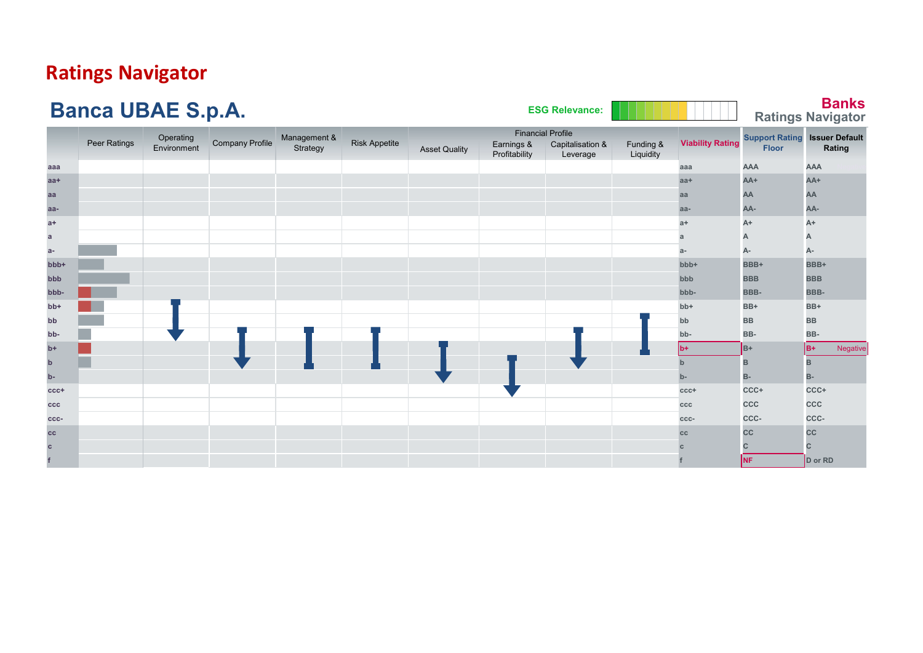# **Ratings Navigator**

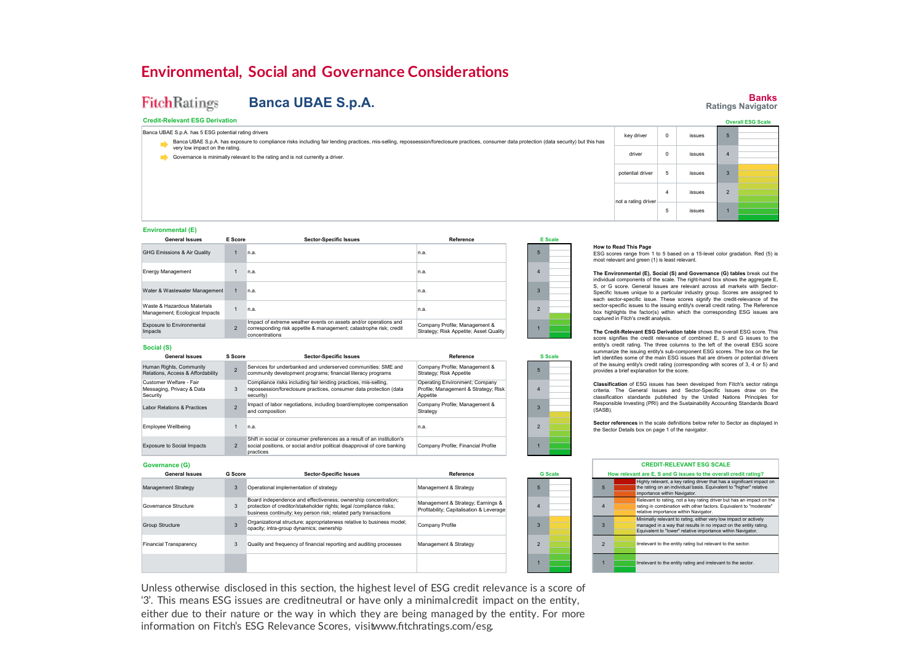## **Environmental, Social and Governance Considerations**

### **FitchRatings Banca UBAE S.p.A.**

### **Credit-Relevant ESG Derivation**

Banca UBAE S.p.A. has exposure to compliance risks including fair lending practices, mis-selling, repossession/foreclosure practices, consumer data protection (data security) but this has exposure to compliance risks inclu Banca UBAE S.p.A. has 5 ESG potential rating drivers very low impact on the rating.

Governance is minimally relevant to the rating and is not currently a driver.



ESG scores range from 1 to 5 based on a 15-level color gradation. Red (5) is

**The Environmental (E), Social (S) and Governance (G) tables** break out the individual components of the scale. The right-hand box shows the aggregate E, S, or G score. General Issues are relevant across all markets with Sector-Specific Issues unique to a particular industry group. Scores are assigned to each sector-specific issue. These scores signify the credit-relevance of the sector-specific issues to the issuing entity's overall credit rating. The Reference box highlights the factor(s) within which the corresponding ESG issues are

### **Environmental (E)**

| <b>General Issues</b>                                         | E Score        | <b>Sector-Specific Issues</b>                                                                                                                            | Reference                                                               | <b>E</b> Scale |  |
|---------------------------------------------------------------|----------------|----------------------------------------------------------------------------------------------------------------------------------------------------------|-------------------------------------------------------------------------|----------------|--|
| GHG Emissions & Air Quality                                   |                | n.a.                                                                                                                                                     | In.a.                                                                   | 5              |  |
| <b>Energy Management</b>                                      |                | n.a.                                                                                                                                                     | In.a.                                                                   |                |  |
| Water & Wastewater Management                                 |                | n.a.                                                                                                                                                     | In.a.                                                                   |                |  |
| Waste & Hazardous Materials<br>Management; Ecological Impacts |                | n.a.                                                                                                                                                     | In.a.                                                                   |                |  |
| <b>Exposure to Environmental</b><br>Impacts                   | $\overline{2}$ | Impact of extreme weather events on assets and/or operations and<br>corresponding risk appetite & management; catastrophe risk; credit<br>concentrations | Company Profile; Management &<br>Strategy; Risk Appetite; Asset Quality |                |  |

### **Social (S)**

**Governance (G)**

Management Strategy Governance Structure Group Structure Financial Transparency

**General Issues**

| <b>General Issues</b>                                            | S Score | <b>Sector-Specific Issues</b>                                                                                                                                    | Reference                                                                          |   | <b>S</b> Scale |
|------------------------------------------------------------------|---------|------------------------------------------------------------------------------------------------------------------------------------------------------------------|------------------------------------------------------------------------------------|---|----------------|
| Human Rights, Community<br>Relations, Access & Affordability     |         | Services for underbanked and underserved communities: SME and<br>community development programs; financial literacy programs                                     | Company Profile; Management &<br>Strategy: Risk Appetite                           | 5 |                |
| Customer Welfare - Fair<br>Messaging, Privacy & Data<br>Security |         | Compliance risks including fair lending practices, mis-selling,<br>repossession/foreclosure practices, consumer data protection (data<br>security)               | Operating Environment; Company<br>Profile; Management & Strategy; Risk<br>Appetite |   |                |
| Labor Relations & Practices                                      |         | Impact of labor negotiations, including board/employee compensation<br>and composition                                                                           | Company Profile; Management &<br>Strategy                                          |   |                |
| Employee Wellbeing                                               |         | n.a.                                                                                                                                                             | n.a.                                                                               |   |                |
| <b>Exposure to Social Impacts</b>                                |         | Shift in social or consumer preferences as a result of an institution's<br>social positions, or social and/or political disapproval of core banking<br>practices | Company Profile; Financial Profile                                                 |   |                |

Board independence and effectiveness; ownership concentration; protection of creditor/stakeholder rights; legal /compliance risks; business continuity; key person risk; related party transactions Organizational structure; appropriateness relative to business model;

**Sector-Specific Issues**

Quality and frequency of financial reporting and auditing processes 3

Operational implementation of strategy

3

3

**G Score**

3

opacity; intra-group dynamics; ownership

# **The Credit-Relevant ESG Derivation table** shows the overall ESG score. This of the issuing entity's credit rating (corresponding with scores of 3, 4 or 5) and provides a brief explanation for the score. 5 3

Management & Strategy Management & Strategy; Earnings & Profitability; Capitalisation & Leverage

Company Profile Management & Strategy

**Reference**

**G Scale**

score signifies the credit relevance of combined E, S and G issues to the entity's credit rating. The three columns to the left of the overall ESG score summarize the issuing entity's sub-component ESG scores. The box on the far left identifies some of the main ESG issues that are drivers or potential drivers

**How to Read This Page**

captured in Fitch's credit analysis.

most relevant and green (1) is least relevant.

**Classification** of ESG issues has been developed from Fitch's sector ratings criteria. The General Issues and Sector-Specific Issues draw on the classification standards published by the United Nations Principles for Responsible Investing (PRI) and the Sustainability Accounting Standards Board (SASB).

**Sector references** in the scale definitions below refer to Sector as displayed in the Sector Details box on page 1 of the navigator.

#### Irrelevant to the entity rating and irrelevant to the sector. **CREDIT-RELEVANT ESG SCALE How relevant are E, S and G issues to the overall credit rating?** 5 Highly relevant, a key rating driver that has a significant impact on the rating on an individual basis. Equivalent to "higher" relative importance within Navigator. 4 Relevant to rating, not a key rating driver but has an impact on the rating in combination with other factors. Equivalent to "moderate" relative importance within Navigator. 3 Minimally relevant to rating, either very low impact or actively managed in a way that results in no impact on the entity rating. Equivalent to "lower" relative importance within Navigator. 2

Unless otherwise disclosed in this section, the highest level of ESG credit relevance is a score of '3'. This means ESG issues are creditneutral or have only a minimalcredit impact on the entity, either due to their nature or the way in which they are being managed by the entity. For more information on Fitch's ESG Relevance Scores, visitwww.fitchratings.com/esg.

### **Banks Ratings Navigator**